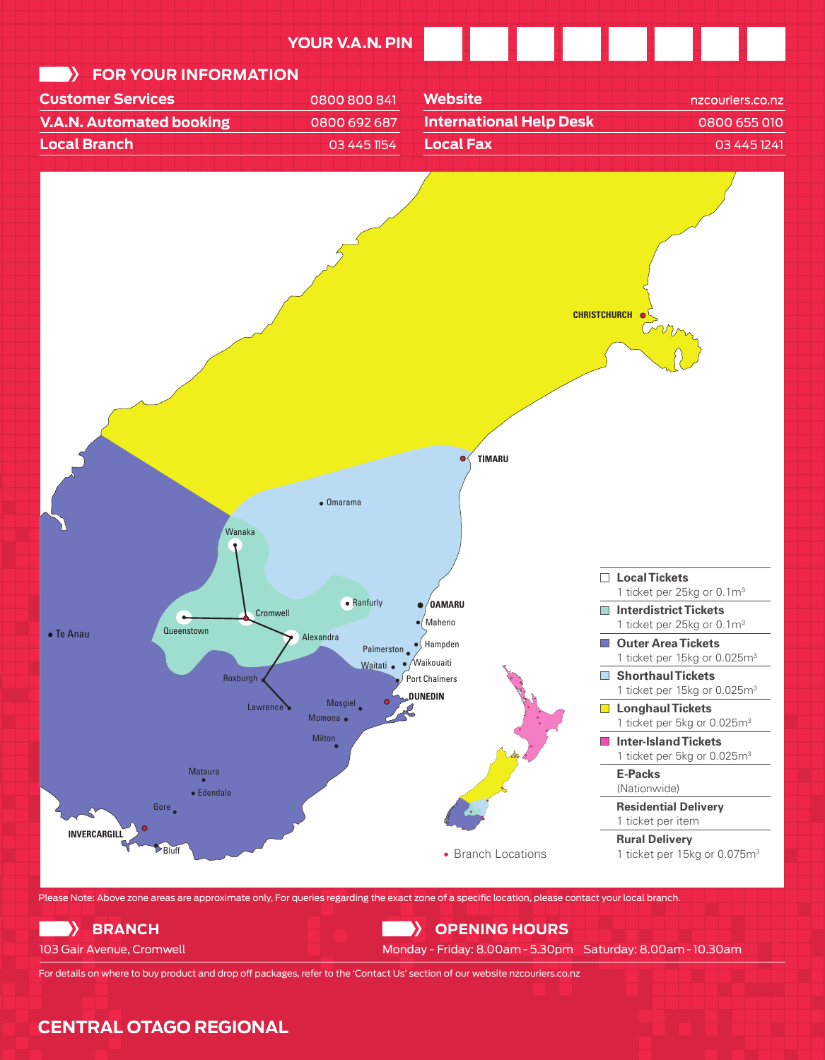

For details on where to buy product and drop off packages, refer to the 'Contact Us' section of our website nzcouriers.co.nz

# **CENTRAL OTAGO REGIONAL**